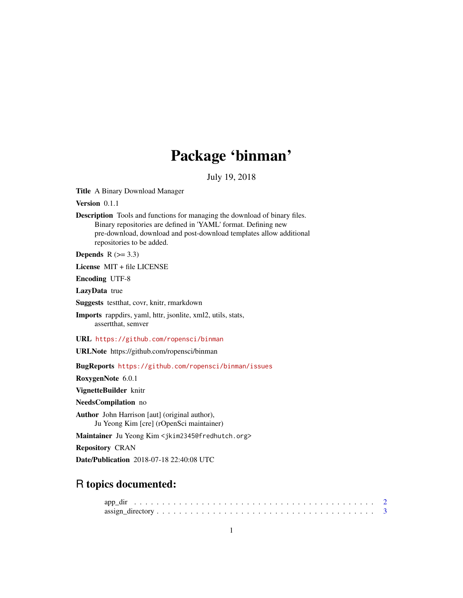# Package 'binman'

July 19, 2018

Title A Binary Download Manager

Version 0.1.1

Description Tools and functions for managing the download of binary files. Binary repositories are defined in 'YAML' format. Defining new pre-download, download and post-download templates allow additional repositories to be added.

Depends  $R$  ( $> = 3.3$ )

License MIT + file LICENSE

Encoding UTF-8

LazyData true

Suggests testthat, covr, knitr, rmarkdown

Imports rappdirs, yaml, httr, jsonlite, xml2, utils, stats, assertthat, semver

URL <https://github.com/ropensci/binman>

URLNote https://github.com/ropensci/binman

BugReports <https://github.com/ropensci/binman/issues>

RoxygenNote 6.0.1

VignetteBuilder knitr

NeedsCompilation no

Author John Harrison [aut] (original author), Ju Yeong Kim [cre] (rOpenSci maintainer)

Maintainer Ju Yeong Kim <jkim2345@fredhutch.org>

Repository CRAN

Date/Publication 2018-07-18 22:40:08 UTC

# R topics documented:

| $assign\_directory \ldots \ldots \ldots \ldots \ldots \ldots \ldots \ldots \ldots \ldots \ldots \ldots$ |  |  |  |  |  |  |  |  |  |  |  |  |  |  |  |  |  |  |
|---------------------------------------------------------------------------------------------------------|--|--|--|--|--|--|--|--|--|--|--|--|--|--|--|--|--|--|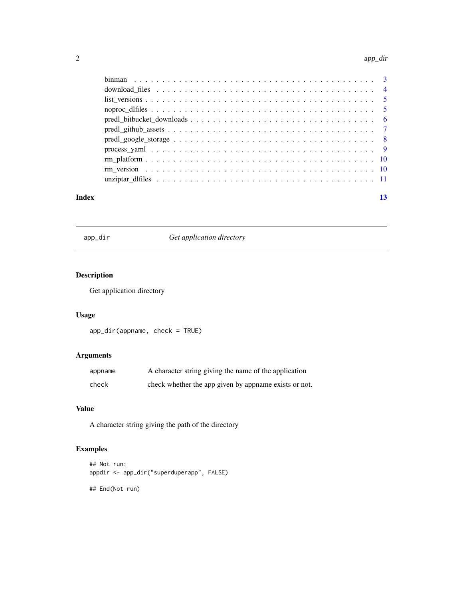#### <span id="page-1-0"></span>2 app\_direction of the contract of the contract of the contract of the contract of the contract of the contract of the contract of the contract of the contract of the contract of the contract of the contract of the contrac

| Index | 13 |
|-------|----|

app\_dir *Get application directory*

# Description

Get application directory

# Usage

app\_dir(appname, check = TRUE)

# Arguments

| appname | A character string giving the name of the application |
|---------|-------------------------------------------------------|
| check   | check whether the app given by appname exists or not. |

#### Value

A character string giving the path of the directory

# Examples

```
## Not run:
appdir <- app_dir("superduperapp", FALSE)
```
## End(Not run)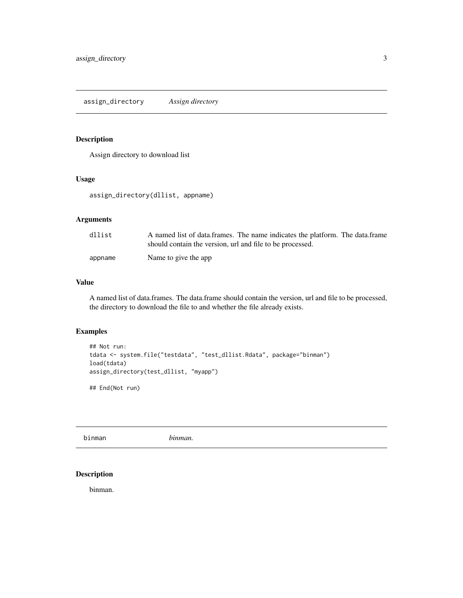# <span id="page-2-0"></span>Description

Assign directory to download list

#### Usage

assign\_directory(dllist, appname)

# Arguments

| dllist  | A named list of data.frames. The name indicates the platform. The data.frame<br>should contain the version, url and file to be processed. |
|---------|-------------------------------------------------------------------------------------------------------------------------------------------|
| appname | Name to give the app                                                                                                                      |

# Value

A named list of data.frames. The data.frame should contain the version, url and file to be processed, the directory to download the file to and whether the file already exists.

# Examples

```
## Not run:
tdata <- system.file("testdata", "test_dllist.Rdata", package="binman")
load(tdata)
assign_directory(test_dllist, "myapp")
```
## End(Not run)

binman *binman.*

# Description

binman.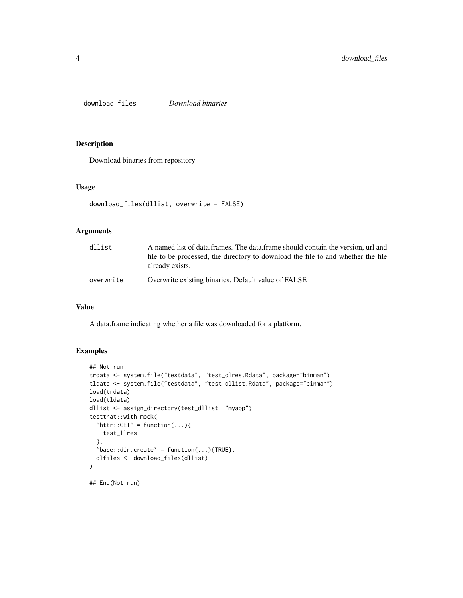<span id="page-3-1"></span><span id="page-3-0"></span>download\_files *Download binaries*

#### Description

Download binaries from repository

#### Usage

```
download_files(dllist, overwrite = FALSE)
```
# Arguments

| dllist    | A named list of data frames. The data frame should contain the version, url and<br>file to be processed, the directory to download the file to and whether the file<br>already exists. |
|-----------|----------------------------------------------------------------------------------------------------------------------------------------------------------------------------------------|
| overwrite | Overwrite existing binaries. Default value of FALSE                                                                                                                                    |

#### Value

A data.frame indicating whether a file was downloaded for a platform.

# Examples

```
## Not run:
trdata <- system.file("testdata", "test_dlres.Rdata", package="binman")
tldata <- system.file("testdata", "test_dllist.Rdata", package="binman")
load(trdata)
load(tldata)
dllist <- assign_directory(test_dllist, "myapp")
testthat::with_mock(
  'httr::GET' = function(...)test_llres
  },
  'base:dir.create' = function(...){\text{TRUE}},dlfiles <- download_files(dllist)
\mathcal{L}## End(Not run)
```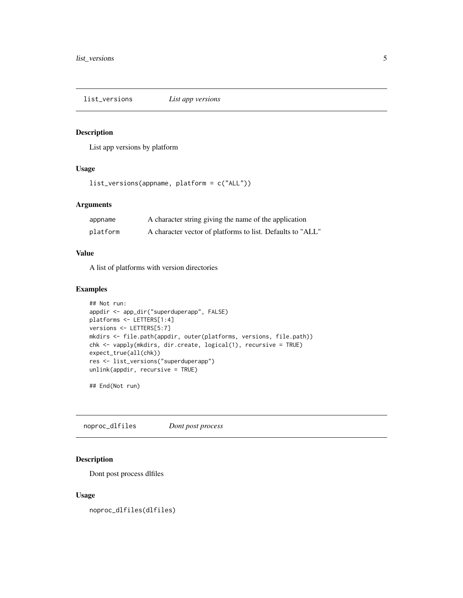<span id="page-4-0"></span>list\_versions *List app versions*

# **Description**

List app versions by platform

#### Usage

```
list_versions(appname, platform = c("ALL"))
```
# Arguments

| appname  | A character string giving the name of the application      |
|----------|------------------------------------------------------------|
| platform | A character vector of platforms to list. Defaults to "ALL" |

#### Value

A list of platforms with version directories

#### Examples

```
## Not run:
appdir <- app_dir("superduperapp", FALSE)
platforms <- LETTERS[1:4]
versions <- LETTERS[5:7]
mkdirs <- file.path(appdir, outer(platforms, versions, file.path))
chk <- vapply(mkdirs, dir.create, logical(1), recursive = TRUE)
expect_true(all(chk))
res <- list_versions("superduperapp")
unlink(appdir, recursive = TRUE)
```
## End(Not run)

noproc\_dlfiles *Dont post process*

# Description

Dont post process dlfiles

#### Usage

noproc\_dlfiles(dlfiles)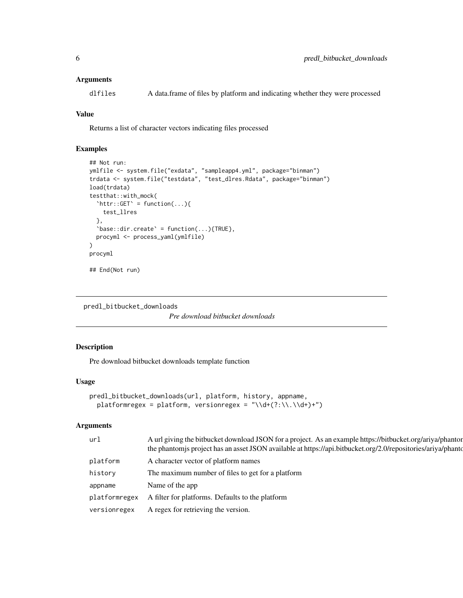#### <span id="page-5-0"></span>Arguments

dlfiles A data.frame of files by platform and indicating whether they were processed

# Value

Returns a list of character vectors indicating files processed

# Examples

```
## Not run:
ymlfile <- system.file("exdata", "sampleapp4.yml", package="binman")
trdata <- system.file("testdata", "test_dlres.Rdata", package="binman")
load(trdata)
testthat::with_mock(
  'httr::GET' =function(...){
    test_llres
  },
  'base::dir.create' = function(...){TRUE},procyml <- process_yaml(ymlfile)
\mathcal{L}procyml
## End(Not run)
```
predl\_bitbucket\_downloads

*Pre download bitbucket downloads*

#### Description

Pre download bitbucket downloads template function

#### Usage

```
predl_bitbucket_downloads(url, platform, history, appname,
 platformregex = platform, versionregex = "\\d+(?:\\.\\d+)+")
```
#### Arguments

| url           | A url giving the bitbucket download JSON for a project. As an example https://bitbucket.org/ariya/phantor<br>the phantomis project has an asset JSON available at https://api.bitbucket.org/2.0/repositories/ariya/phanto- |
|---------------|----------------------------------------------------------------------------------------------------------------------------------------------------------------------------------------------------------------------------|
| platform      | A character vector of platform names                                                                                                                                                                                       |
| history       | The maximum number of files to get for a platform                                                                                                                                                                          |
| appname       | Name of the app                                                                                                                                                                                                            |
| platformregex | A filter for platforms. Defaults to the platform                                                                                                                                                                           |
| versionregex  | A regex for retrieving the version.                                                                                                                                                                                        |
|               |                                                                                                                                                                                                                            |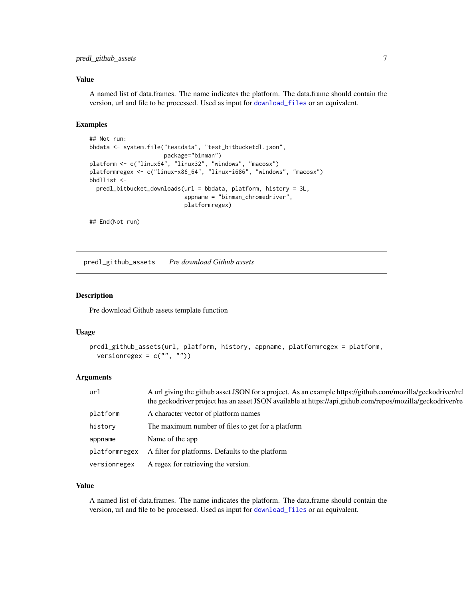#### <span id="page-6-0"></span>Value

A named list of data.frames. The name indicates the platform. The data.frame should contain the version, url and file to be processed. Used as input for [download\\_files](#page-3-1) or an equivalent.

#### Examples

```
## Not run:
bbdata <- system.file("testdata", "test_bitbucketdl.json",
                      package="binman")
platform <- c("linux64", "linux32", "windows", "macosx")
platformregex <- c("linux-x86_64", "linux-i686", "windows", "macosx")
bbdllist <-
  predl_bitbucket_downloads(url = bbdata, platform, history = 3L,
                            appname = "binman_chromedriver",
                            platformregex)
```
## End(Not run)

predl\_github\_assets *Pre download Github assets*

#### Description

Pre download Github assets template function

#### Usage

```
predl_github_assets(url, platform, history, appname, platformregex = platform,
 versionregex = c("", ""))
```
#### Arguments

| ur1           | A url giving the github asset JSON for a project. As an example https://github.com/mozilla/geckodriver/re<br>the geckodriver project has an asset JSON available at https://api.github.com/repos/mozilla/geckodriver/re |
|---------------|-------------------------------------------------------------------------------------------------------------------------------------------------------------------------------------------------------------------------|
| platform      | A character vector of platform names                                                                                                                                                                                    |
| history       | The maximum number of files to get for a platform                                                                                                                                                                       |
| appname       | Name of the app                                                                                                                                                                                                         |
| platformregex | A filter for platforms. Defaults to the platform                                                                                                                                                                        |
| versionregex  | A regex for retrieving the version.                                                                                                                                                                                     |

#### Value

A named list of data.frames. The name indicates the platform. The data.frame should contain the version, url and file to be processed. Used as input for [download\\_files](#page-3-1) or an equivalent.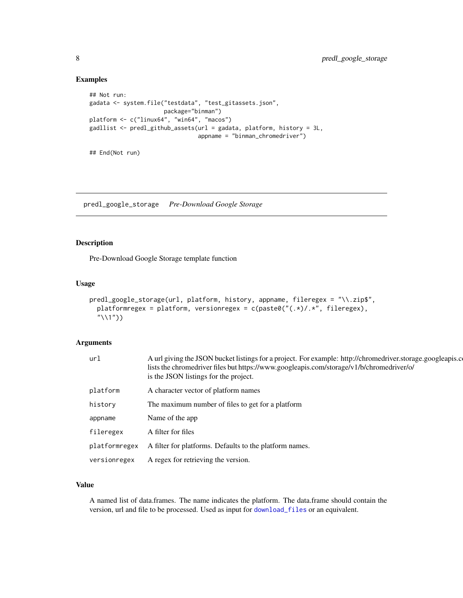# Examples

```
## Not run:
gadata <- system.file("testdata", "test_gitassets.json",
                      package="binman")
platform <- c("linux64", "win64", "macos")
gadllist <- predl_github_assets(url = gadata, platform, history = 3L,
                                appname = "binman_chromedriver")
```
## End(Not run)

predl\_google\_storage *Pre-Download Google Storage*

#### Description

Pre-Download Google Storage template function

#### Usage

```
predl_google_storage(url, platform, history, appname, fileregex = "\\.zip$",
  platformregex = platform, versionregex = c(paste0("(.*)/.*", fileregex),
  "\setminus\1"))
```
#### Arguments

| url           | A url giving the JSON bucket listings for a project. For example: http://chromedriver.storage.googleapis.c<br>lists the chromedriver files but https://www.googleapis.com/storage/v1/b/chromedriver/o/<br>is the JSON listings for the project. |
|---------------|-------------------------------------------------------------------------------------------------------------------------------------------------------------------------------------------------------------------------------------------------|
| platform      | A character vector of platform names                                                                                                                                                                                                            |
| history       | The maximum number of files to get for a platform                                                                                                                                                                                               |
| appname       | Name of the app                                                                                                                                                                                                                                 |
| fileregex     | A filter for files                                                                                                                                                                                                                              |
| platformregex | A filter for platforms. Defaults to the platform names.                                                                                                                                                                                         |
| versionregex  | A regex for retrieving the version.                                                                                                                                                                                                             |

#### Value

A named list of data.frames. The name indicates the platform. The data.frame should contain the version, url and file to be processed. Used as input for [download\\_files](#page-3-1) or an equivalent.

<span id="page-7-0"></span>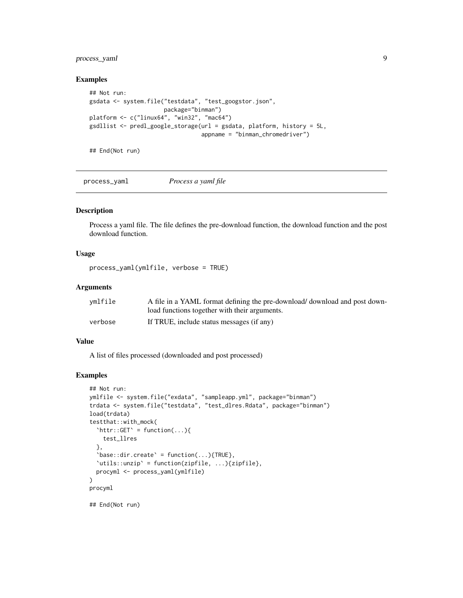# <span id="page-8-0"></span>process\_yaml 9

#### Examples

```
## Not run:
gsdata <- system.file("testdata", "test_googstor.json",
                     package="binman")
platform <- c("linux64", "win32", "mac64")
gsdllist <- predl_google_storage(url = gsdata, platform, history = 5L,
                                 appname = "binman_chromedriver")
```
## End(Not run)

process\_yaml *Process a yaml file*

#### Description

Process a yaml file. The file defines the pre-download function, the download function and the post download function.

# Usage

process\_yaml(ymlfile, verbose = TRUE)

# Arguments

| vmlfile | A file in a YAML format defining the pre-download/ download and post down- |
|---------|----------------------------------------------------------------------------|
|         | load functions together with their arguments.                              |
| verbose | If TRUE, include status messages (if any)                                  |

#### Value

A list of files processed (downloaded and post processed)

#### Examples

```
## Not run:
ymlfile <- system.file("exdata", "sampleapp.yml", package="binman")
trdata <- system.file("testdata", "test_dlres.Rdata", package="binman")
load(trdata)
testthat::with_mock(
  \text{thitr}::GET\text{S} = \text{function}(\dots)test_llres
  },
  'base:dir.create' = function(...){TRUE},`utils::unzip` = function(zipfile, ...){zipfile},
  procyml <- process_yaml(ymlfile)
)
procyml
```
## End(Not run)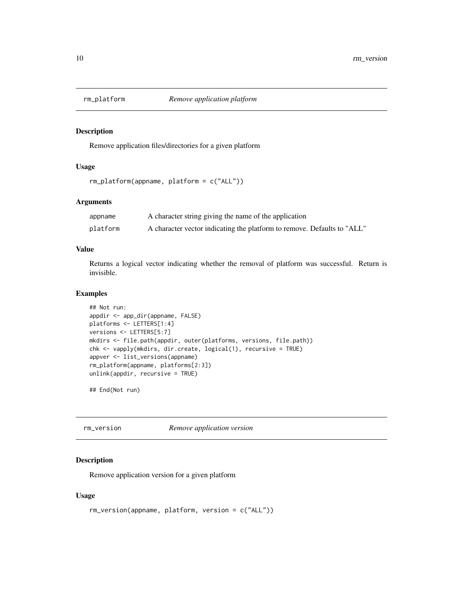<span id="page-9-0"></span>

#### Description

Remove application files/directories for a given platform

# Usage

```
rm_platform(appname, platform = c("ALL"))
```
# Arguments

| appname  | A character string giving the name of the application                   |
|----------|-------------------------------------------------------------------------|
| platform | A character vector indicating the platform to remove. Defaults to "ALL" |

#### Value

Returns a logical vector indicating whether the removal of platform was successful. Return is invisible.

#### Examples

```
## Not run:
appdir <- app_dir(appname, FALSE)
platforms <- LETTERS[1:4]
versions <- LETTERS[5:7]
mkdirs <- file.path(appdir, outer(platforms, versions, file.path))
chk <- vapply(mkdirs, dir.create, logical(1), recursive = TRUE)
appver <- list_versions(appname)
rm_platform(appname, platforms[2:3])
unlink(appdir, recursive = TRUE)
```
## End(Not run)

rm\_version *Remove application version*

#### Description

Remove application version for a given platform

#### Usage

```
rm_version(appname, platform, version = c("ALL"))
```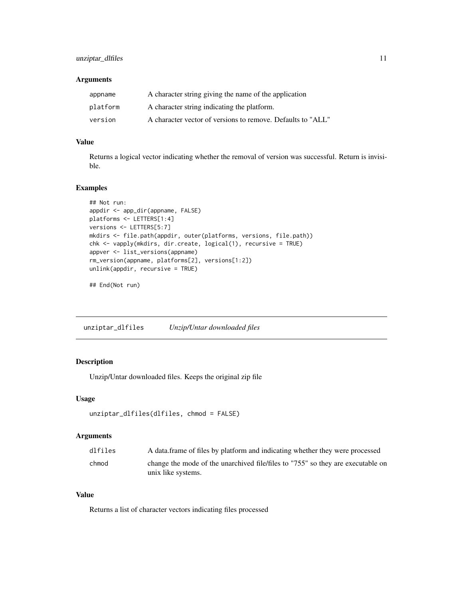# <span id="page-10-0"></span>unziptar\_dlfiles 11

#### Arguments

| appname  | A character string giving the name of the application       |
|----------|-------------------------------------------------------------|
| platform | A character string indicating the platform.                 |
| version  | A character vector of versions to remove. Defaults to "ALL" |

# Value

Returns a logical vector indicating whether the removal of version was successful. Return is invisible.

#### Examples

```
## Not run:
appdir <- app_dir(appname, FALSE)
platforms <- LETTERS[1:4]
versions <- LETTERS[5:7]
mkdirs <- file.path(appdir, outer(platforms, versions, file.path))
chk <- vapply(mkdirs, dir.create, logical(1), recursive = TRUE)
appver <- list_versions(appname)
rm_version(appname, platforms[2], versions[1:2])
unlink(appdir, recursive = TRUE)
```
## End(Not run)

unziptar\_dlfiles *Unzip/Untar downloaded files*

# Description

Unzip/Untar downloaded files. Keeps the original zip file

#### Usage

```
unziptar_dlfiles(dlfiles, chmod = FALSE)
```
# Arguments

| dlfiles | A data frame of files by platform and indicating whether they were processed    |
|---------|---------------------------------------------------------------------------------|
| chmod   | change the mode of the unarchived file/files to "755" so they are executable on |
|         | unix like systems.                                                              |

# Value

Returns a list of character vectors indicating files processed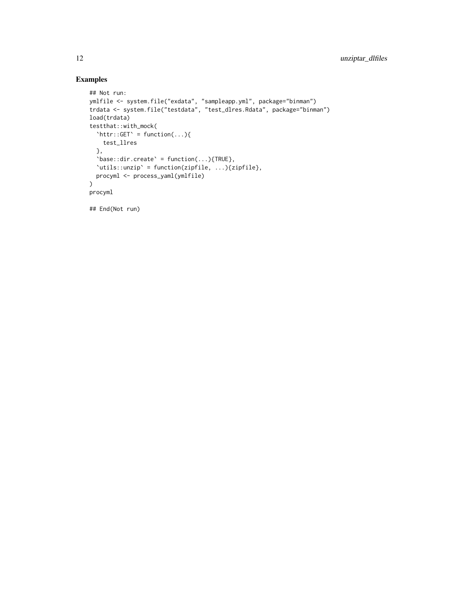# Examples

```
## Not run:
ymlfile <- system.file("exdata", "sampleapp.yml", package="binman")
trdata <- system.file("testdata", "test_dlres.Rdata", package="binman")
load(trdata)
testthat::with_mock(
  'httr::GET' =function(...){
    test_llres
  },
  'base:dir.create' = function(...){TRUE},`utils::unzip` = function(zipfile, ...){zipfile},
  procyml <- process_yaml(ymlfile)
\mathcal{L}procyml
```
## End(Not run)